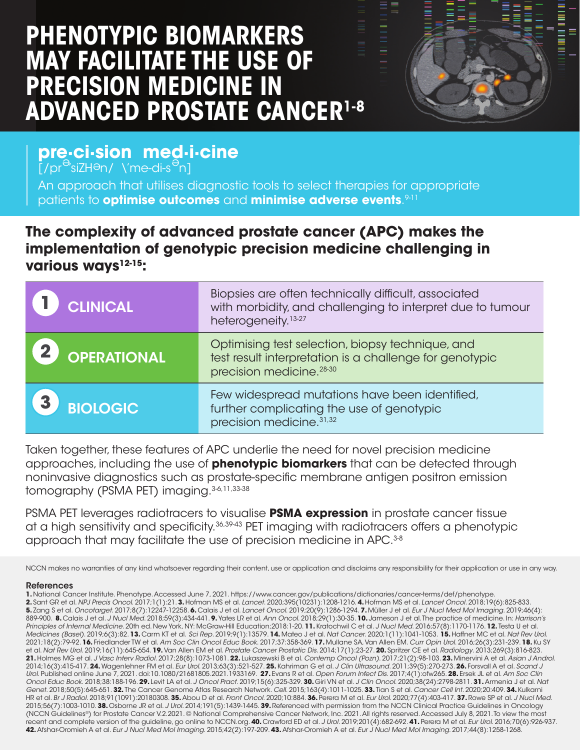# **PHENOTYPIC BIOMARKERS MAY FACILITATE THE USE OF PRECISION MEDICINE IN ADVANCED PROSTATE CANCER1-8**



# **pre·ci·sion med·i·cine**

 $[$ /pr $\overline{e}$ 'siZH $\overline{e}$ n/ \'me-di-s $\overline{e}$ n]

An approach that utilises diagnostic tools to select therapies for appropriate patients to **optimise outcomes** and **minimise adverse events**. 9-11

# **The complexity of advanced prostate cancer (APC) makes the implementation of genotypic precision medicine challenging in various ways12-15:**

| <b>CLINICAL</b> | Biopsies are often technically difficult, associated<br>with morbidity, and challenging to interpret due to tumour<br>heterogeneity. <sup>13-27</sup> |
|-----------------|-------------------------------------------------------------------------------------------------------------------------------------------------------|
| OPERATIONAL     | Optimising test selection, biopsy technique, and<br>test result interpretation is a challenge for genotypic<br>precision medicine. <sup>28-30</sup>   |
| <b>BIOLOGIC</b> | Few widespread mutations have been identified,<br>further complicating the use of genotypic<br>precision medicine. <sup>31,32</sup>                   |

Taken together, these features of APC underlie the need for novel precision medicine approaches, including the use of **phenotypic biomarkers** that can be detected through noninvasive diagnostics such as prostate-specific membrane antigen positron emission tomography (PSMA PET) imaging.<sup>3-6,11,33-38</sup>

PSMA PET leverages radiotracers to visualise **PSMA expression** in prostate cancer tissue at a high sensitivity and specificity.36,39-43 PET imaging with radiotracers offers a phenotypic approach that may facilitate the use of precision medicine in APC.<sup>3-8</sup>

NCCN makes no warranties of any kind whatsoever regarding their content, use or application and disclaims any responsibility for their application or use in any way.

#### References

**1.** National Cancer Institute. Phenotype. Accessed June 7, 2021. https://www.cancer.gov/publications/dictionaries/cancer-terms/def/phenotype. **2.** Sant GR et al. *NPJ Precis Oncol*. 2017;1(1):21. **3.** Hofman MS et al. *Lancet*. 2020;395(10231):1208-1216. **4.** Hofman MS et al. *Lancet Oncol*. 2018;19(6):825-833. **5.** Zang S et al. *Oncotarget*. 2017;8(7):12247-12258. **6.** Calais J et al. *Lancet Oncol*. 2019;20(9):1286-1294. **7.** Müller J et al. *Eur J Nucl Med Mol Imaging*. 2019;46(4): 889-900. **8.** Calais J et al. *J Nucl Med*. 2018;59(3):434-441. **9.** Yates LR et al. *Ann Oncol*. 2018;29(1):30-35. **10.** Jameson J et al. The practice of medicine. In: *Harrison's Principles of Internal Medicine*. 20th ed. New York, NY: McGraw-Hill Education;2018:1-20. **11.** Kratochwil C et al. *J Nucl Med*. 2016;57(8):1170-1176. **12.** Testa U et al. *Medicines (Basel)*. 2019;6(3):82. **13.** Carm KT et al. *Sci Rep*. 2019;9(1):13579. **14.** Mateo J et al. *Nat Cancer*. 2020;1(11):1041-1053. **15.** Haffner MC et al. *Nat Rev Urol*. 2021;18(2):79-92. **16.** Friedlander TW et al. *Am Soc Clin Oncol Educ Book*. 2017;37:358-369. **17.** Mullane SA, Van Allen EM. *Curr Opin Urol*. 2016;26(3):231-239. **18.** Ku SY et al. *Nat Rev Urol*. 2019;16(11):645-654. **19.** Van Allen EM et al. *Prostate Cancer Prostatic Dis*. 2014;17(1):23-27. **20.** Spritzer CE et al. *Radiology*. 2013;269(3):816-823. **21.** Holmes MG et al. *J Vasc Interv Radiol*. 2017;28(8):1073-1081. **22.** Lukaszewski B et al. *Contemp Oncol (Pozn)*. 2017;21(2):98-103. **23.** Minervini A et al. *Asian J Androl*. 2014;16(3):415-417. **24.** Wagenlehner FM et al. *Eur Urol*. 2013;63(3):521-527. **25.** Kahriman G et al. *J Clin Ultrasound*. 2011;39(5):270-273. **26.** Forsvall A et al. *Scand J Urol*. Published online June 7, 2021. doi:10.1080/21681805.2021.1933169. **27.** Evans R et al. *Open Forum Infect Dis*. 2017;4(1):ofw265. **28.** Ersek JL et al. *Am Soc Clin Oncol Educ Book*. 2018;38:188-196. **29.** Levit LA et al. *J Oncol Pract*. 2019;15(6):325-329. **30.** Giri VN et al. *J Clin Oncol*. 2020;38(24):2798-2811. **31.** Armenia J et al. *Nat Genet*. 2018;50(5):645-651. **32.** The Cancer Genome Atlas Research Network. *Cell*. 2015;163(4):1011-1025. **33.** Tian S et al. *Cancer Cell Int*. 2020;20:409. **34.** Kulkarni HR et al. *Br J Radiol*. 2018;91(1091):20180308. **35.** Abou D et al. *Front Oncol*. 2020;10:884. **36.** Perera M et al. *Eur Urol*. 2020;77(4):403-417. **37.** Rowe SP et al. *J Nucl Med*. 2015;56(7):1003-1010. **38.** Osborne JR et al. *J Urol*. 2014;191(5):1439-1445. **39.** Referenced with permission from the NCCN Clinical Practice Guidelines in Oncology (NCCN Guidelines®) for Prostate Cancer V.2.2021. © National Comprehensive Cancer Network, Inc. 2021. All rights reserved. Accessed July 8, 2021. To view the most recent and complete version of the guideline, go online to NCCN.org. **40.** Crawford ED et al. *J Urol*. 2019;201(4):682-692. **41.** Perera M et al. *Eur Urol*. 2016;70(6):926-937. **42.** Afshar-Oromieh A et al. *Eur J Nucl Med Mol Imaging*. 2015;42(2):197-209. **43.** Afshar-Oromieh A et al. *Eur J Nucl Med Mol Imaging*. 2017;44(8):1258-1268.